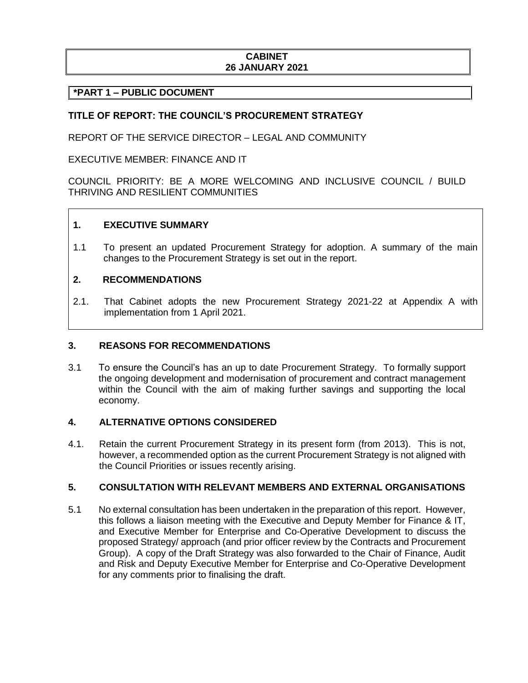### **CABINET 26 JANUARY 2021**

## **\*PART 1 – PUBLIC DOCUMENT**

### **TITLE OF REPORT: THE COUNCIL'S PROCUREMENT STRATEGY**

REPORT OF THE SERVICE DIRECTOR – LEGAL AND COMMUNITY

EXECUTIVE MEMBER: FINANCE AND IT

COUNCIL PRIORITY: BE A MORE WELCOMING AND INCLUSIVE COUNCIL / BUILD THRIVING AND RESILIENT COMMUNITIES

#### **1. EXECUTIVE SUMMARY**

1.1 To present an updated Procurement Strategy for adoption. A summary of the main changes to the Procurement Strategy is set out in the report.

### **2. RECOMMENDATIONS**

2.1. That Cabinet adopts the new Procurement Strategy 2021-22 at Appendix A with implementation from 1 April 2021.

#### **3. REASONS FOR RECOMMENDATIONS**

3.1 To ensure the Council's has an up to date Procurement Strategy. To formally support the ongoing development and modernisation of procurement and contract management within the Council with the aim of making further savings and supporting the local economy.

### **4. ALTERNATIVE OPTIONS CONSIDERED**

4.1. Retain the current Procurement Strategy in its present form (from 2013). This is not, however, a recommended option as the current Procurement Strategy is not aligned with the Council Priorities or issues recently arising.

#### **5. CONSULTATION WITH RELEVANT MEMBERS AND EXTERNAL ORGANISATIONS**

5.1 No external consultation has been undertaken in the preparation of this report. However, this follows a liaison meeting with the Executive and Deputy Member for Finance & IT, and Executive Member for Enterprise and Co-Operative Development to discuss the proposed Strategy/ approach (and prior officer review by the Contracts and Procurement Group). A copy of the Draft Strategy was also forwarded to the Chair of Finance, Audit and Risk and Deputy Executive Member for Enterprise and Co-Operative Development for any comments prior to finalising the draft.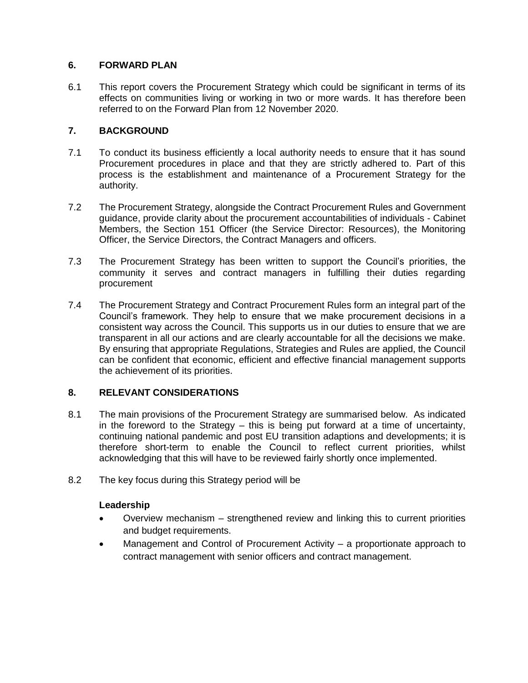## **6. FORWARD PLAN**

6.1 This report covers the Procurement Strategy which could be significant in terms of its effects on communities living or working in two or more wards. It has therefore been referred to on the Forward Plan from 12 November 2020.

## **7. BACKGROUND**

- 7.1 To conduct its business efficiently a local authority needs to ensure that it has sound Procurement procedures in place and that they are strictly adhered to. Part of this process is the establishment and maintenance of a Procurement Strategy for the authority.
- 7.2 The Procurement Strategy, alongside the Contract Procurement Rules and Government guidance, provide clarity about the procurement accountabilities of individuals - Cabinet Members, the Section 151 Officer (the Service Director: Resources), the Monitoring Officer, the Service Directors, the Contract Managers and officers.
- 7.3 The Procurement Strategy has been written to support the Council's priorities, the community it serves and contract managers in fulfilling their duties regarding procurement
- 7.4 The Procurement Strategy and Contract Procurement Rules form an integral part of the Council's framework. They help to ensure that we make procurement decisions in a consistent way across the Council. This supports us in our duties to ensure that we are transparent in all our actions and are clearly accountable for all the decisions we make. By ensuring that appropriate Regulations, Strategies and Rules are applied, the Council can be confident that economic, efficient and effective financial management supports the achievement of its priorities.

### **8. RELEVANT CONSIDERATIONS**

- 8.1 The main provisions of the Procurement Strategy are summarised below. As indicated in the foreword to the Strategy – this is being put forward at a time of uncertainty, continuing national pandemic and post EU transition adaptions and developments; it is therefore short-term to enable the Council to reflect current priorities, whilst acknowledging that this will have to be reviewed fairly shortly once implemented.
- 8.2 The key focus during this Strategy period will be

### **Leadership**

- Overview mechanism strengthened review and linking this to current priorities and budget requirements.
- Management and Control of Procurement Activity a proportionate approach to contract management with senior officers and contract management.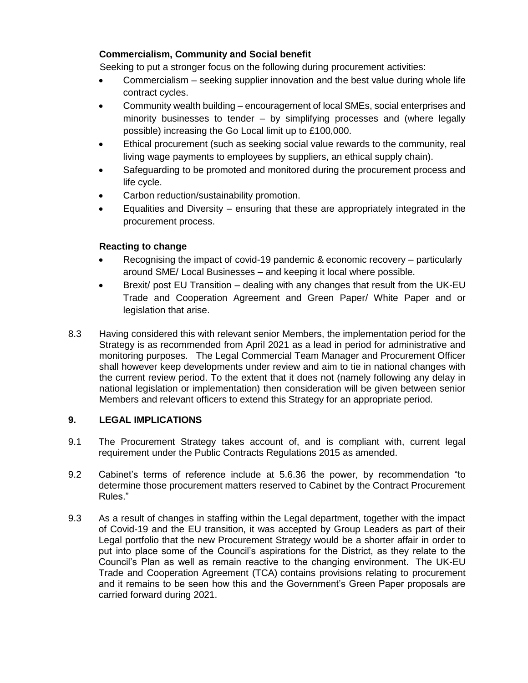# **Commercialism, Community and Social benefit**

Seeking to put a stronger focus on the following during procurement activities:

- Commercialism seeking supplier innovation and the best value during whole life contract cycles.
- Community wealth building encouragement of local SMEs, social enterprises and minority businesses to tender – by simplifying processes and (where legally possible) increasing the Go Local limit up to £100,000.
- Ethical procurement (such as seeking social value rewards to the community, real living wage payments to employees by suppliers, an ethical supply chain).
- Safeguarding to be promoted and monitored during the procurement process and life cycle.
- Carbon reduction/sustainability promotion.
- Equalities and Diversity ensuring that these are appropriately integrated in the procurement process.

# **Reacting to change**

- Recognising the impact of covid-19 pandemic & economic recovery particularly around SME/ Local Businesses – and keeping it local where possible.
- Brexit/ post EU Transition dealing with any changes that result from the UK-EU Trade and Cooperation Agreement and Green Paper/ White Paper and or legislation that arise.
- 8.3 Having considered this with relevant senior Members, the implementation period for the Strategy is as recommended from April 2021 as a lead in period for administrative and monitoring purposes. The Legal Commercial Team Manager and Procurement Officer shall however keep developments under review and aim to tie in national changes with the current review period. To the extent that it does not (namely following any delay in national legislation or implementation) then consideration will be given between senior Members and relevant officers to extend this Strategy for an appropriate period.

# **9. LEGAL IMPLICATIONS**

- 9.1 The Procurement Strategy takes account of, and is compliant with, current legal requirement under the Public Contracts Regulations 2015 as amended.
- 9.2 Cabinet's terms of reference include at 5.6.36 the power, by recommendation "to determine those procurement matters reserved to Cabinet by the Contract Procurement Rules."
- 9.3 As a result of changes in staffing within the Legal department, together with the impact of Covid-19 and the EU transition, it was accepted by Group Leaders as part of their Legal portfolio that the new Procurement Strategy would be a shorter affair in order to put into place some of the Council's aspirations for the District, as they relate to the Council's Plan as well as remain reactive to the changing environment. The UK-EU Trade and Cooperation Agreement (TCA) contains provisions relating to procurement and it remains to be seen how this and the Government's Green Paper proposals are carried forward during 2021.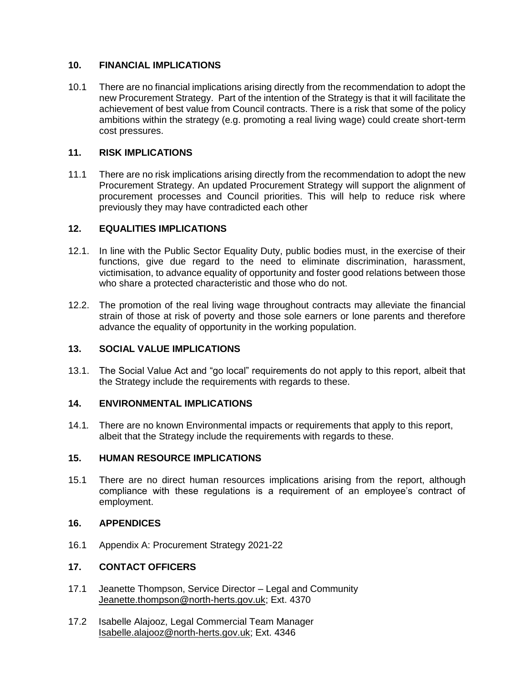## **10. FINANCIAL IMPLICATIONS**

10.1 There are no financial implications arising directly from the recommendation to adopt the new Procurement Strategy. Part of the intention of the Strategy is that it will facilitate the achievement of best value from Council contracts. There is a risk that some of the policy ambitions within the strategy (e.g. promoting a real living wage) could create short-term cost pressures.

### **11. RISK IMPLICATIONS**

11.1 There are no risk implications arising directly from the recommendation to adopt the new Procurement Strategy. An updated Procurement Strategy will support the alignment of procurement processes and Council priorities. This will help to reduce risk where previously they may have contradicted each other

## **12. EQUALITIES IMPLICATIONS**

- 12.1. In line with the Public Sector Equality Duty, public bodies must, in the exercise of their functions, give due regard to the need to eliminate discrimination, harassment, victimisation, to advance equality of opportunity and foster good relations between those who share a protected characteristic and those who do not.
- 12.2. The promotion of the real living wage throughout contracts may alleviate the financial strain of those at risk of poverty and those sole earners or lone parents and therefore advance the equality of opportunity in the working population.

### **13. SOCIAL VALUE IMPLICATIONS**

13.1. The Social Value Act and "go local" requirements do not apply to this report, albeit that the Strategy include the requirements with regards to these.

## **14. ENVIRONMENTAL IMPLICATIONS**

14.1*.* There are no known Environmental impacts or requirements that apply to this report, albeit that the Strategy include the requirements with regards to these.

### **15. HUMAN RESOURCE IMPLICATIONS**

15.1 There are no direct human resources implications arising from the report, although compliance with these regulations is a requirement of an employee's contract of employment.

## **16. APPENDICES**

16.1 Appendix A: Procurement Strategy 2021-22

### **17. CONTACT OFFICERS**

- 17.1 Jeanette Thompson, Service Director Legal and Community [Jeanette.thompson@north-herts.gov.uk;](mailto:Jeanette.thompson@north-herts.gov.uk) Ext. 4370
- 17.2 Isabelle Alajooz, Legal Commercial Team Manager [Isabelle.alajooz@north-herts.gov.uk;](mailto:Isabelle.alajooz@north-herts.gov.uk) Ext. 4346